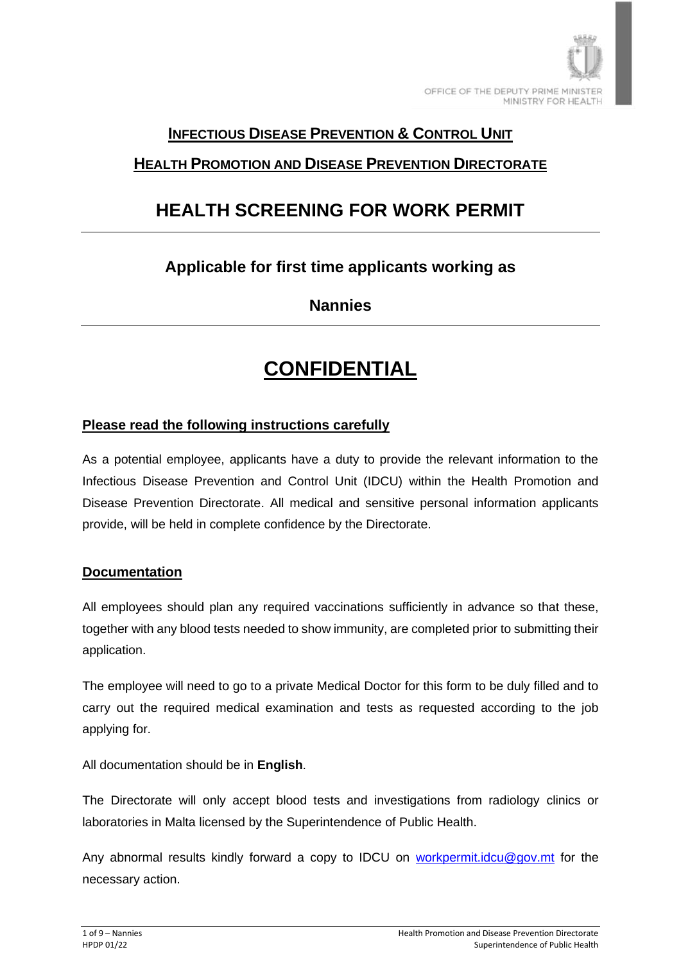

### **INFECTIOUS DISEASE PREVENTION & CONTROL UNIT**

## **HEALTH PROMOTION AND DISEASE PREVENTION DIRECTORATE**

# **HEALTH SCREENING FOR WORK PERMIT**

## **Applicable for first time applicants working as**

**Nannies**

# **CONFIDENTIAL**

#### **Please read the following instructions carefully**

As a potential employee, applicants have a duty to provide the relevant information to the Infectious Disease Prevention and Control Unit (IDCU) within the Health Promotion and Disease Prevention Directorate. All medical and sensitive personal information applicants provide, will be held in complete confidence by the Directorate.

#### **Documentation**

All employees should plan any required vaccinations sufficiently in advance so that these, together with any blood tests needed to show immunity, are completed prior to submitting their application.

The employee will need to go to a private Medical Doctor for this form to be duly filled and to carry out the required medical examination and tests as requested according to the job applying for.

All documentation should be in **English**.

The Directorate will only accept blood tests and investigations from radiology clinics or laboratories in Malta licensed by the Superintendence of Public Health.

Any abnormal results kindly forward a copy to IDCU on [workpermit.idcu@gov.mt](mailto:workpermit.idcu@gov.mt) for the necessary action.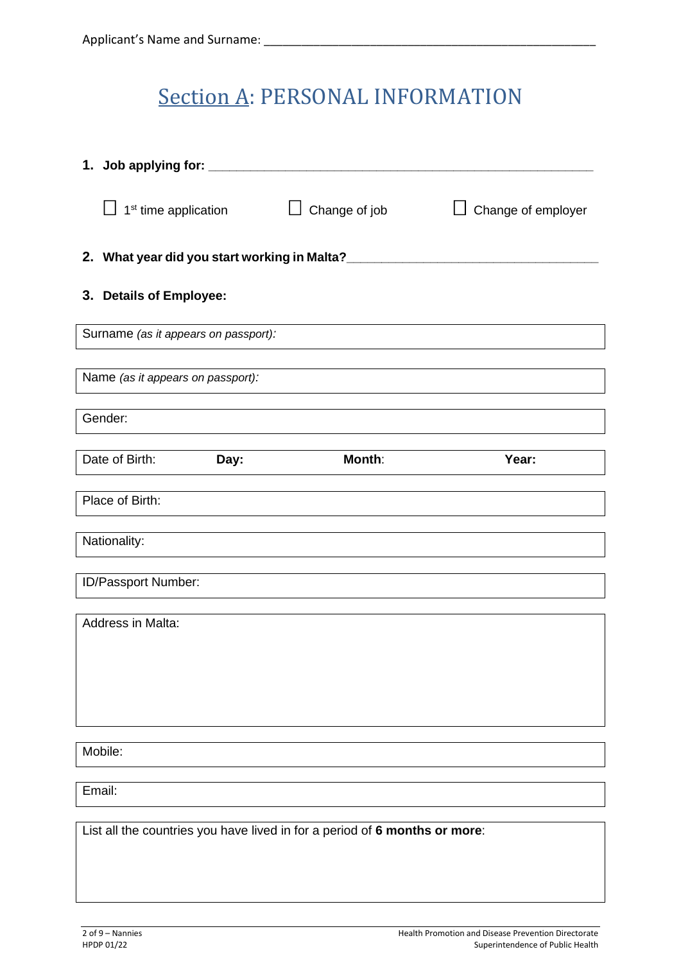# **Section A: PERSONAL INFORMATION**

|                                                                            | 1 <sup>st</sup> time application     |      | Change of job |       | Change of employer |
|----------------------------------------------------------------------------|--------------------------------------|------|---------------|-------|--------------------|
|                                                                            |                                      |      |               |       |                    |
|                                                                            | 3. Details of Employee:              |      |               |       |                    |
|                                                                            | Surname (as it appears on passport): |      |               |       |                    |
|                                                                            | Name (as it appears on passport):    |      |               |       |                    |
|                                                                            | Gender:                              |      |               |       |                    |
|                                                                            | Date of Birth:                       | Day: | Month:        | Year: |                    |
|                                                                            | Place of Birth:                      |      |               |       |                    |
|                                                                            | Nationality:                         |      |               |       |                    |
|                                                                            | ID/Passport Number:                  |      |               |       |                    |
|                                                                            | Address in Malta:                    |      |               |       |                    |
|                                                                            |                                      |      |               |       |                    |
|                                                                            |                                      |      |               |       |                    |
|                                                                            | Mobile:                              |      |               |       |                    |
|                                                                            | Email:                               |      |               |       |                    |
| List all the countries you have lived in for a period of 6 months or more: |                                      |      |               |       |                    |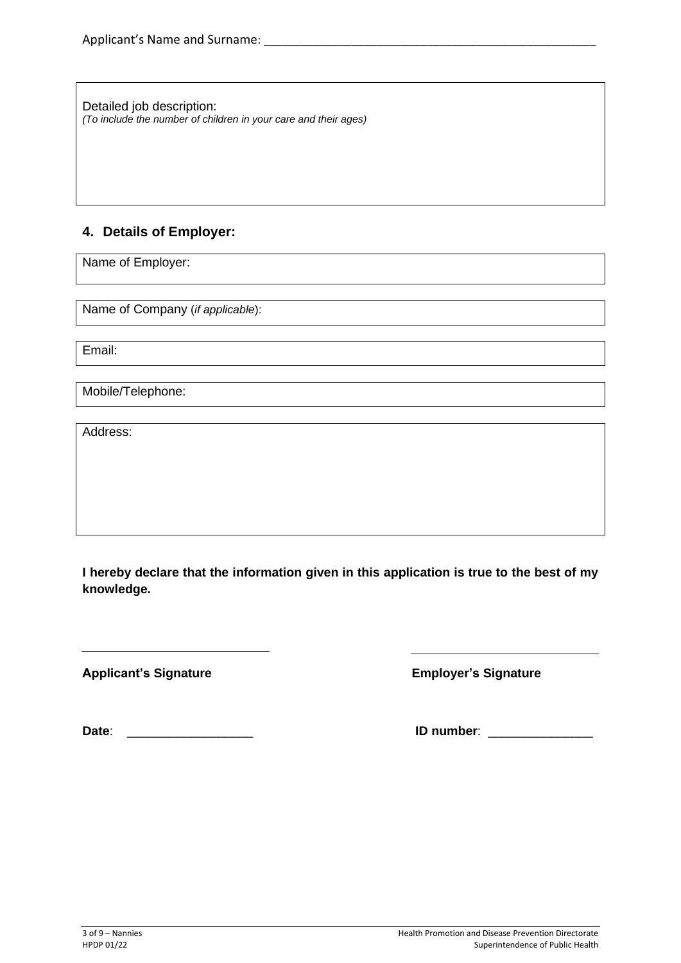Detailed job description: *(To include the number of children in your care and their ages)*

### **4. Details of Employer:**

Name of Employer:

Name of Company (*if applicable*):

Email:

Mobile/Telephone:

Address:

**I hereby declare that the information given in this application is true to the best of my knowledge.**

**Applicant's Signature Employer's Signature**

 $\overline{a}$ 

**Date**: \_\_\_\_\_\_\_\_\_\_\_\_\_\_\_\_\_\_ **ID number**: \_\_\_\_\_\_\_\_\_\_\_\_\_\_\_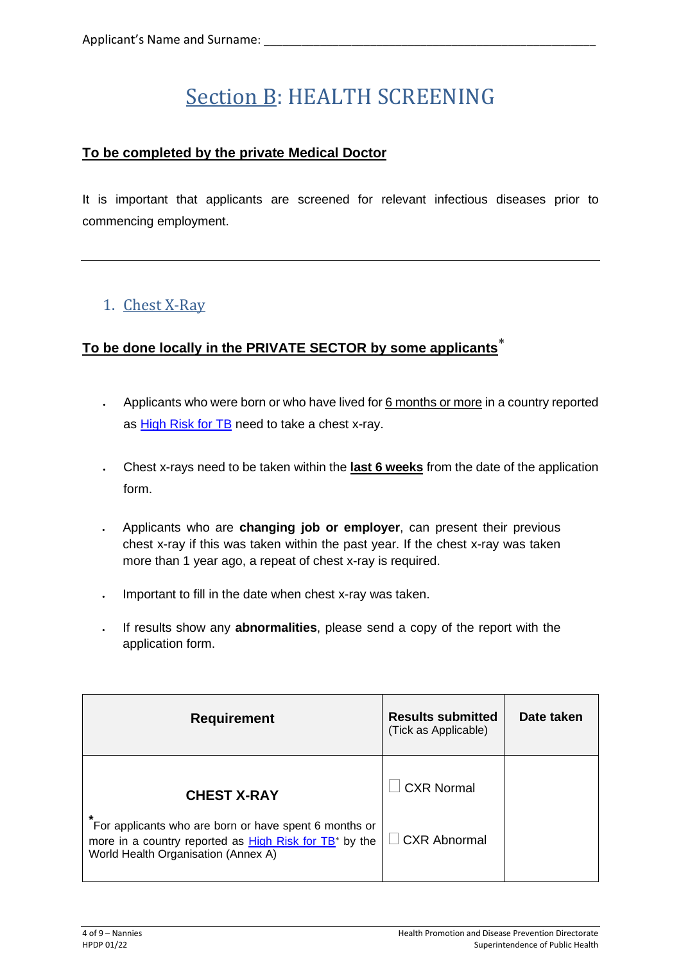# Section B: HEALTH SCREENING

### **To be completed by the private Medical Doctor**

It is important that applicants are screened for relevant infectious diseases prior to commencing employment.

## 1. Chest X-Ray

## **To be done locally in the PRIVATE SECTOR by some applicants**

- Applicants who were born or who have lived for 6 months or more in a country reported as **High Risk for TB** need to take a chest x-ray.
- Chest x-rays need to be taken within the **last 6 weeks** from the date of the application form.
- Applicants who are **changing job or employer**, can present their previous chest x-ray if this was taken within the past year. If the chest x-ray was taken more than 1 year ago, a repeat of chest x-ray is required.
- Important to fill in the date when chest x-ray was taken.
- If results show any **abnormalities**, please send a copy of the report with the application form.

| <b>Requirement</b>                                                                                                                                                      | <b>Results submitted</b><br>(Tick as Applicable) | Date taken |
|-------------------------------------------------------------------------------------------------------------------------------------------------------------------------|--------------------------------------------------|------------|
| <b>CHEST X-RAY</b>                                                                                                                                                      | <b>CXR Normal</b>                                |            |
| *<br>For applicants who are born or have spent 6 months or<br>more in a country reported as High Risk for TB <sup>*</sup> by the<br>World Health Organisation (Annex A) | CXR Abnormal                                     |            |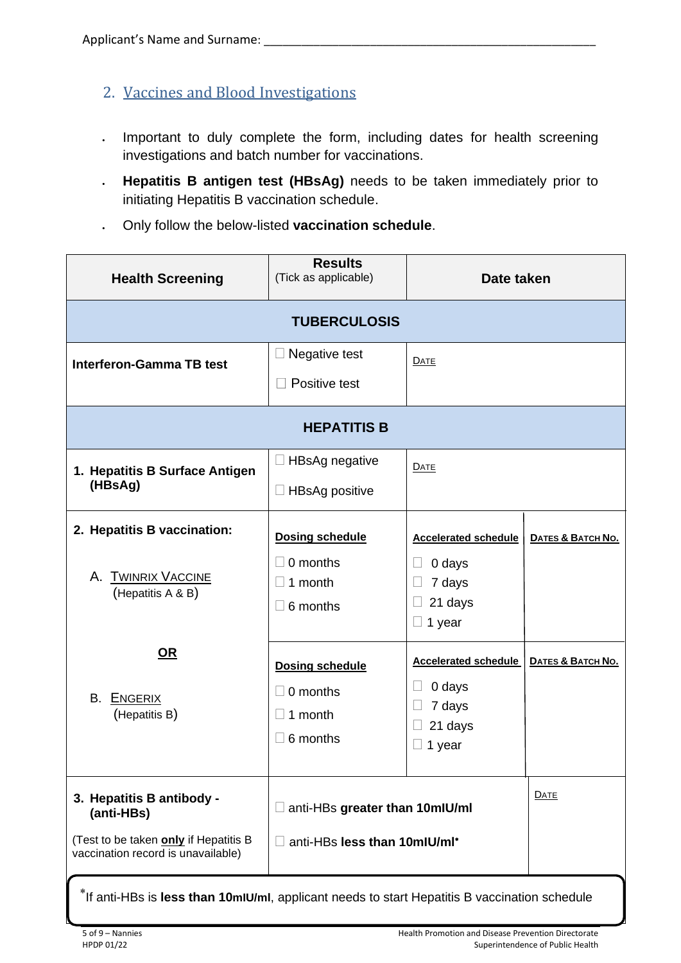- 2. Vaccines and Blood Investigations
- Important to duly complete the form, including dates for health screening investigations and batch number for vaccinations.
- **Hepatitis B antigen test (HBsAg)** needs to be taken immediately prior to initiating Hepatitis B vaccination schedule.
- Only follow the below-listed **vaccination schedule**.

| <b>Health Screening</b>                                                                                                | <b>Results</b><br>(Tick as applicable)                                               | Date taken                                                                            |                   |  |
|------------------------------------------------------------------------------------------------------------------------|--------------------------------------------------------------------------------------|---------------------------------------------------------------------------------------|-------------------|--|
|                                                                                                                        | <b>TUBERCULOSIS</b>                                                                  |                                                                                       |                   |  |
| <b>Interferon-Gamma TB test</b>                                                                                        | $\Box$ Negative test<br>Positive test                                                | DATE                                                                                  |                   |  |
|                                                                                                                        | <b>HEPATITIS B</b>                                                                   |                                                                                       |                   |  |
| 1. Hepatitis B Surface Antigen<br>(HBsAg)                                                                              | $\Box$ HBsAg negative<br>$\Box$ HBsAg positive                                       | DATE                                                                                  |                   |  |
| 2. Hepatitis B vaccination:<br><b>TWINRIX VACCINE</b><br>Α.<br>(Hepatitis A & B)                                       | <b>Dosing schedule</b><br>0 months<br>$\Box$<br>1 month<br>$\Box$<br>$\Box$ 6 months | <b>Accelerated schedule</b><br>0 days<br>7 days<br>$\Box$<br>21 days<br>$\Box$ 1 year | DATES & BATCH NO. |  |
| <u>OR</u><br>В.<br>ENGERIX<br>(Hepatitis B)                                                                            | <b>Dosing schedule</b><br>$\Box$ 0 months<br>1 month<br>$\Box$<br>$\Box$ 6 months    | <b>Accelerated schedule</b><br>0 days<br>7 days<br>21 days<br>1 year                  | DATES & BATCH No. |  |
| 3. Hepatitis B antibody -<br>(anti-HBs)<br>(Test to be taken only if Hepatitis B<br>vaccination record is unavailable) | anti-HBs greater than 10mlU/ml<br>anti-HBs less than 10mlU/ml*                       |                                                                                       | <b>DATE</b>       |  |

If anti-HBs is **less than 10mIU/ml**, applicant needs to start Hepatitis B vaccination schedule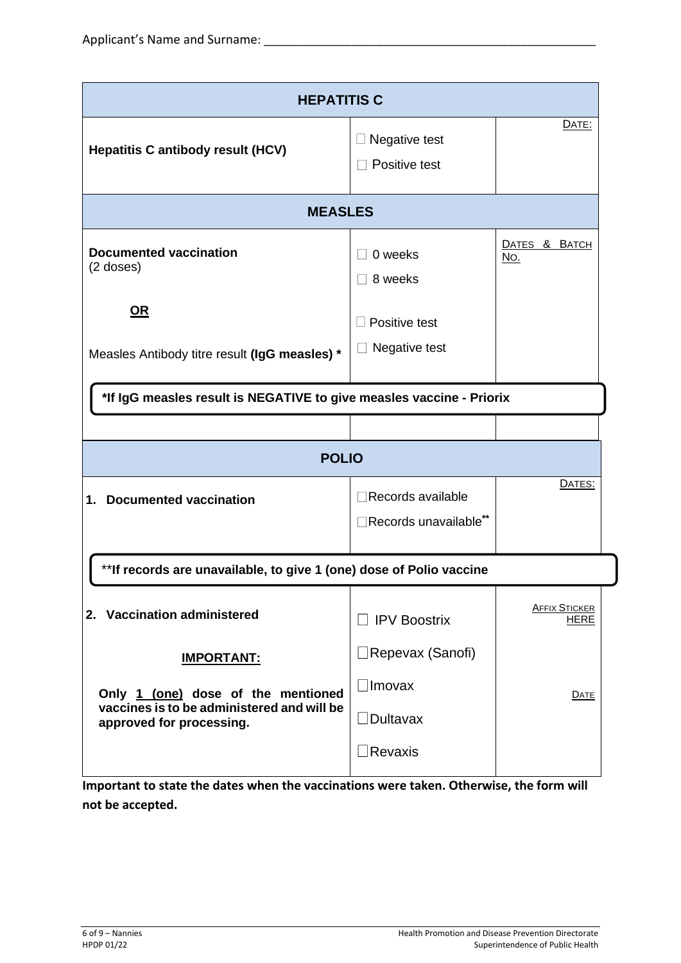| <b>HEPATITIS C</b>                                                                                                                |                                                                            |                                     |  |
|-----------------------------------------------------------------------------------------------------------------------------------|----------------------------------------------------------------------------|-------------------------------------|--|
| <b>Hepatitis C antibody result (HCV)</b>                                                                                          | Negative test<br>Positive test                                             | <b>DATE:</b>                        |  |
| <b>MEASLES</b>                                                                                                                    |                                                                            |                                     |  |
| <b>Documented vaccination</b><br>$(2$ doses)                                                                                      | 0 weeks<br>8 weeks                                                         | DATES & BATCH<br><u>No.</u>         |  |
| <u>OR</u><br>Measles Antibody titre result (IgG measles) *                                                                        | Positive test<br>Negative test                                             |                                     |  |
| *If IgG measles result is NEGATIVE to give measles vaccine - Priorix                                                              |                                                                            |                                     |  |
| <b>POLIO</b>                                                                                                                      |                                                                            |                                     |  |
| <b>Documented vaccination</b><br>1.                                                                                               | Records available<br>Records unavailable**                                 | DATES:                              |  |
| ** If records are unavailable, to give 1 (one) dose of Polio vaccine                                                              |                                                                            |                                     |  |
| 2. Vaccination administered                                                                                                       | <b>IPV Boostrix</b><br>$\blacksquare$                                      | <b>AFFIX STICKER</b><br><b>HERE</b> |  |
| <b>IMPORTANT:</b><br>Only 1 (one) dose of the mentioned<br>vaccines is to be administered and will be<br>approved for processing. | ∐Repevax (Sanofi)<br>$\Box$ Imovax<br>$\Box$ Dultavax<br>$\exists$ Revaxis | <b>DATE</b>                         |  |

**Important to state the dates when the vaccinations were taken. Otherwise, the form will not be accepted.**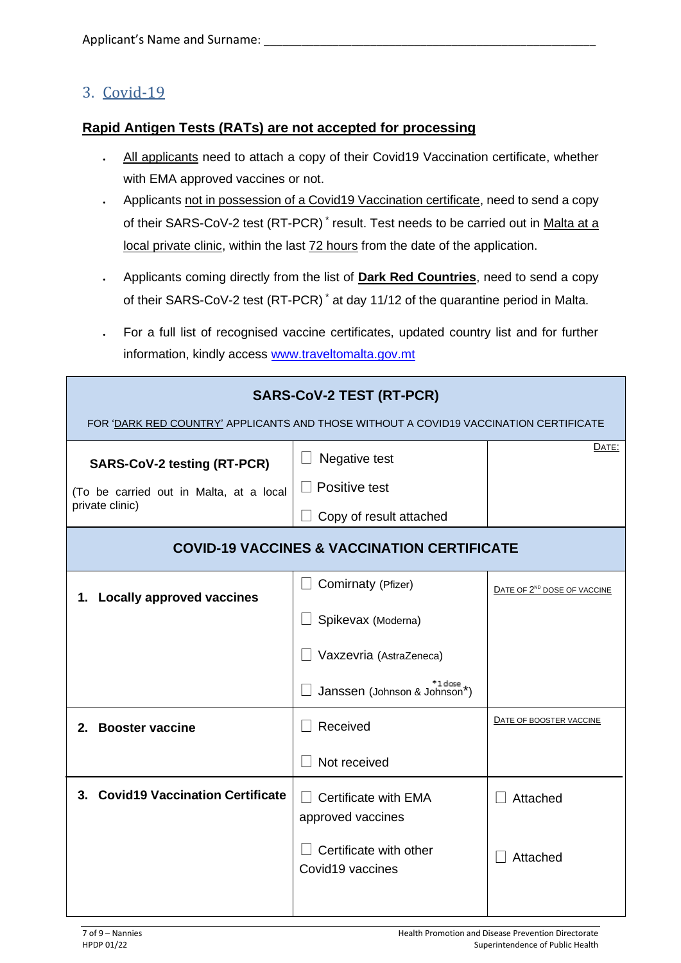### 3. Covid-19

#### **Rapid Antigen Tests (RATs) are not accepted for processing**

- All applicants need to attach a copy of their Covid19 Vaccination certificate, whether with EMA approved vaccines or not.
- Applicants not in possession of a Covid19 Vaccination certificate, need to send a copy of their SARS-CoV-2 test (RT-PCR)<sup>\*</sup> result. Test needs to be carried out in Malta at a local private clinic, within the last 72 hours from the date of the application.
- Applicants coming directly from the list of **Dark Red Countries**, need to send a copy of their SARS-CoV-2 test (RT-PCR) \* at day 11/12 of the quarantine period in Malta.
- For a full list of recognised vaccine certificates, updated country list and for further information, kindly access [www.traveltomalta.gov.mt](http://www.traveltomalta.gov.mt/)

| <b>SARS-CoV-2 TEST (RT-PCR)</b><br>FOR 'DARK RED COUNTRY' APPLICANTS AND THOSE WITHOUT A COVID19 VACCINATION CERTIFICATE |                                                                |                                         |
|--------------------------------------------------------------------------------------------------------------------------|----------------------------------------------------------------|-----------------------------------------|
| <b>SARS-CoV-2 testing (RT-PCR)</b><br>(To be carried out in Malta, at a local                                            | Negative test<br>Positive test                                 | DATE:                                   |
| private clinic)<br>Copy of result attached<br><b>COVID-19 VACCINES &amp; VACCINATION CERTIFICATE</b>                     |                                                                |                                         |
| <b>Locally approved vaccines</b><br>1.                                                                                   | Comirnaty (Pfizer)<br>Spikevax (Moderna)                       | DATE OF 2 <sup>ND</sup> DOSE OF VACCINE |
|                                                                                                                          | Vaxzevria (AstraZeneca)                                        |                                         |
| 2. Booster vaccine                                                                                                       | <sup>+1 dose</sup><br>Janssen (Johnson & Johnson*)<br>Received | DATE OF BOOSTER VACCINE                 |
|                                                                                                                          | Not received                                                   |                                         |
| 3. Covid19 Vaccination Certificate                                                                                       | Certificate with EMA<br>approved vaccines                      | Attached                                |
|                                                                                                                          | Certificate with other<br>Covid19 vaccines                     | Attached                                |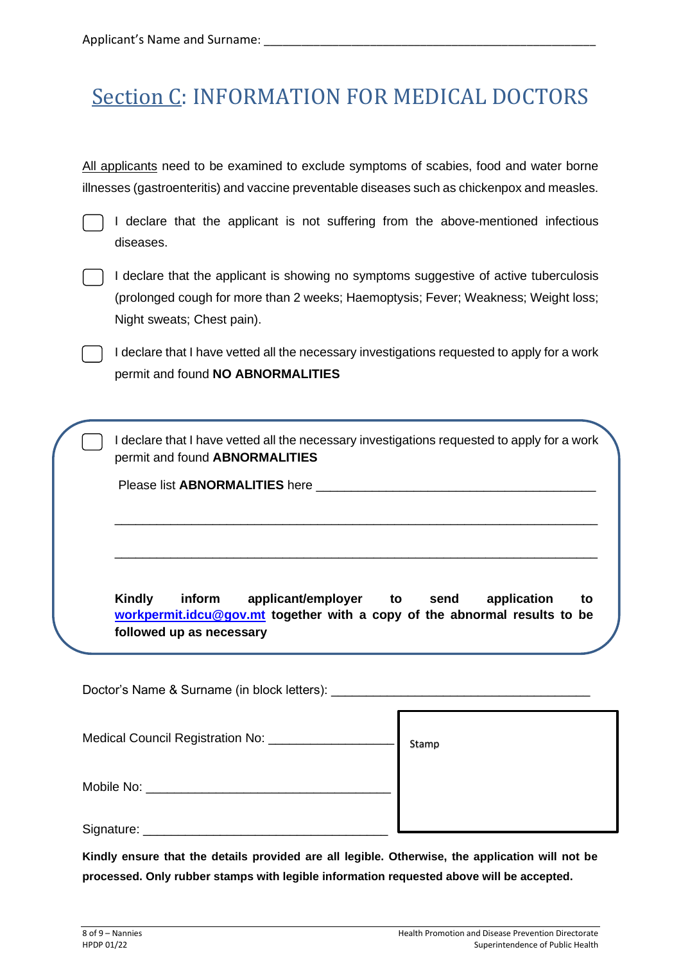# Section C: INFORMATION FOR MEDICAL DOCTORS

All applicants need to be examined to exclude symptoms of scabies, food and water borne illnesses (gastroenteritis) and vaccine preventable diseases such as chickenpox and measles.

I declare that the applicant is not suffering from the above-mentioned infectious diseases.



I declare that the applicant is showing no symptoms suggestive of active tuberculosis (prolonged cough for more than 2 weeks; Haemoptysis; Fever; Weakness; Weight loss; Night sweats; Chest pain).

I declare that I have vetted all the necessary investigations requested to apply for a work permit and found **NO ABNORMALITIES**

I declare that I have vetted all the necessary investigations requested to apply for a work permit and found **ABNORMALITIES**

\_\_\_\_\_\_\_\_\_\_\_\_\_\_\_\_\_\_\_\_\_\_\_\_\_\_\_\_\_\_\_\_\_\_\_\_\_\_\_\_\_\_\_\_\_\_\_\_\_\_\_\_\_\_\_\_\_\_\_\_\_\_\_\_\_\_\_\_\_

\_\_\_\_\_\_\_\_\_\_\_\_\_\_\_\_\_\_\_\_\_\_\_\_\_\_\_\_\_\_\_\_\_\_\_\_\_\_\_\_\_\_\_\_\_\_\_\_\_\_\_\_\_\_\_\_\_\_\_\_\_\_\_\_\_\_\_\_\_

Please list **ABNORMALITIES** here **with a set of the set of the set of the set of the set of the set of the set of the set of the set of the set of the set of the set of the set of the set of the set of the set of the set o** 

**Kindly inform applicant/employer to send application to [workpermit.idcu@gov.mt](mailto:workpermit.idcu@gov.mt) together with a copy of the abnormal results to be followed up as necessary**

Doctor's Name & Surname (in block letters): Medical Council Registration No: Mobile No: **with the set of the set of the set of the set of the set of the set of the set of the set of the set of the set of the set of the set of the set of the set of the set of the set of the set of the set of the set** Signature: \_\_\_\_\_\_\_\_\_\_\_\_\_\_\_\_\_\_\_\_\_\_\_\_\_\_\_\_\_\_\_\_\_\_\_ Stamp

**Kindly ensure that the details provided are all legible. Otherwise, the application will not be processed. Only rubber stamps with legible information requested above will be accepted.**